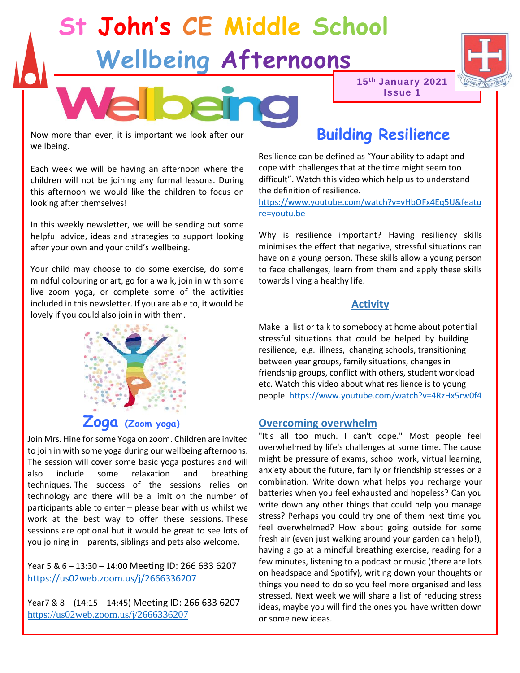# **St John's CE Middle School Wellbeing Afternoons**



Now more than ever, it is important we look after our wellbeing.

Each week we will be having an afternoon where the children will not be joining any formal lessons. During this afternoon we would like the children to focus on looking after themselves!

In this weekly newsletter, we will be sending out some helpful advice, ideas and strategies to support looking after your own and your child's wellbeing.

Your child may choose to do some exercise, do some mindful colouring or art, go for a walk, join in with some live zoom yoga, or complete some of the activities included in this newsletter. If you are able to, it would be lovely if you could also join in with them.



Join Mrs. Hine for some Yoga on zoom. Children are invited to join in with some yoga during our wellbeing afternoons. The session will cover some basic yoga postures and will also include some relaxation and breathing techniques. The success of the sessions relies on technology and there will be a limit on the number of participants able to enter – please bear with us whilst we work at the best way to offer these sessions. These sessions are optional but it would be great to see lots of you joining in – parents, siblings and pets also welcome.

Year 5 & 6 – 13:30 – 14:00 Meeting ID: 266 633 6207 <https://us02web.zoom.us/j/2666336207>

Year7 & 8 – (14:15 – 14:45) Meeting ID: 266 633 6207 <https://us02web.zoom.us/j/2666336207>

## **Building Resilience**

**15th January 2021 Issue 1**

Resilience can be defined as "Your ability to adapt and cope with challenges that at the time might seem too difficult". Watch this video which help us to understand the definition of resilience.

[https://www.youtube.com/watch?v=vHbOFx4Eq5U&featu](https://www.youtube.com/watch?v=vHbOFx4Eq5U&feature=youtu.be) [re=youtu.be](https://www.youtube.com/watch?v=vHbOFx4Eq5U&feature=youtu.be)

Why is resilience important? Having resiliency skills minimises the effect that negative, stressful situations can have on a young person. These skills allow a young person to face challenges, learn from them and apply these skills towards living a healthy life.

### **Activity**

Make a list or talk to somebody at home about potential stressful situations that could be helped by building resilience, e.g. illness, changing schools, transitioning between year groups, family situations, changes in friendship groups, conflict with others, student workload etc. Watch this video about what resilience is to young people[. https://www.youtube.com/watch?v=4RzHx5rw0f4](https://www.youtube.com/watch?v=4RzHx5rw0f4)

#### **Overcoming overwhelm**

"It's all too much. I can't cope." Most people feel overwhelmed by life's challenges at some time. The cause might be pressure of exams, school work, virtual learning, anxiety about the future, family or friendship stresses or a combination. Write down what helps you recharge your batteries when you feel exhausted and hopeless? Can you write down any other things that could help you manage stress? Perhaps you could try one of them next time you feel overwhelmed? How about going outside for some fresh air (even just walking around your garden can help!), having a go at a mindful breathing exercise, reading for a few minutes, listening to a podcast or music (there are lots on headspace and Spotify), writing down your thoughts or things you need to do so you feel more organised and less stressed. Next week we will share a list of reducing stress ideas, maybe you will find the ones you have written down or some new ideas.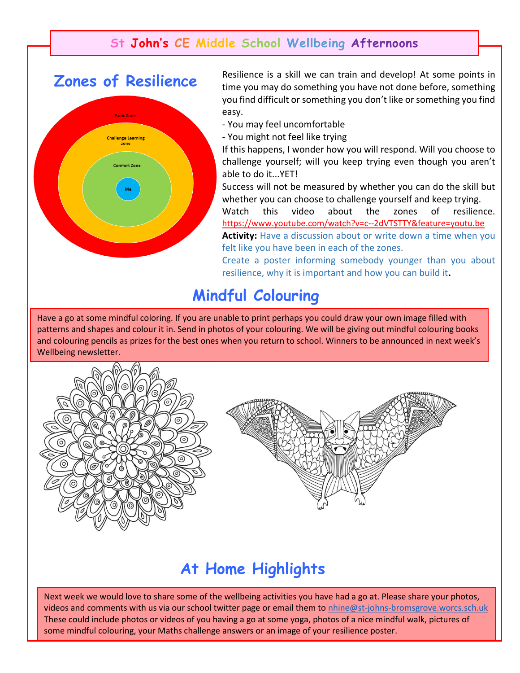## **St John's CE Middle School Wellbeing Afternoons**

## **Zones of Resilience**



Resilience is a skill we can train and develop! At some points in time you may do something you have not done before, something you find difficult or something you don't like or something you find easy.

- You may feel uncomfortable
- You might not feel like trying

If this happens, I wonder how you will respond. Will you choose to challenge yourself; will you keep trying even though you aren't able to do it...YET!

Success will not be measured by whether you can do the skill but whether you can choose to challenge yourself and keep trying.

Watch this video about the zones of resilience. <https://www.youtube.com/watch?v=c--2dVTSTTY&feature=youtu.be>

Activity: Have a discussion about or write down a time when you felt like you have been in each of the zones.

Create a poster informing somebody younger than you about resilience, why it is important and how you can build it**.** 

## **Mindful Colouring**

Have a go at some mindful coloring. If you are unable to print perhaps you could draw your own image filled with patterns and shapes and colour it in. Send in photos of your colouring. We will be giving out mindful colouring books and colouring pencils as prizes for the best ones when you return to school. Winners to be announced in next week's Wellbeing newsletter.



## **At Home Highlights**

Next week we would love to share some of the wellbeing activities you have had a go at. Please share your photos, videos and comments with us via our school twitter page or email them to [nhine@st-johns-bromsgrove.worcs.sch.uk](mailto:nhine@st-johns-bromsgrove.worcs.sch.uk) These could include photos or videos of you having a go at some yoga, photos of a nice mindful walk, pictures of some mindful colouring, your Maths challenge answers or an image of your resilience poster.